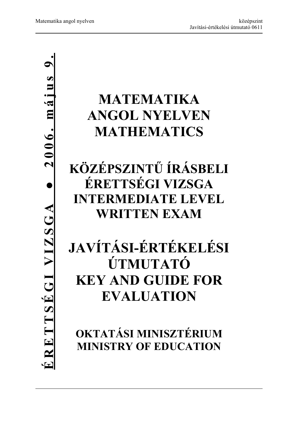# **● 2006. május 9.** $2006.$  május RETTSEGIVIZSGA **ÉRETTSÉGI VIZSGA**

# **MATEMATIKA ANGOL NYELVEN MATHEMATICS**

## **KÖZÉPSZINTŰ ÍRÁSBELI ÉRETTSÉGI VIZSGA INTERMEDIATE LEVEL WRITTEN EXAM**

# **JAVÍTÁSI-ÉRTÉKELÉSI ÚTMUTATÓ KEY AND GUIDE FOR EVALUATION**

**OKTATÁSI MINISZTÉRIUM MINISTRY OF EDUCATION**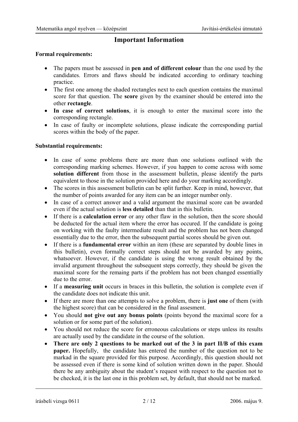## **Important Information**

### **Formal requirements:**

- The papers must be assessed in **pen and of different colour** than the one used by the candidates. Errors and flaws should be indicated according to ordinary teaching practice.
- The first one among the shaded rectangles next to each question contains the maximal score for that question. The **score** given by the examiner should be entered into the other **rectangle**.
- **In case of correct solutions**, it is enough to enter the maximal score into the corresponding rectangle.
- In case of faulty or incomplete solutions, please indicate the corresponding partial scores within the body of the paper.

#### **Substantial requirements:**

- In case of some problems there are more than one solutions outlined with the corresponding marking schemes. However, if you happen to come across with some **solution different** from those in the assessment bulletin, please identify the parts equivalent to those in the solution provided here and do your marking accordingly.
- The scores in this assessment bulletin can be split further. Keep in mind, however, that the number of points awarded for any item can be an integer number only.
- In case of a correct answer and a valid argument the maximal score can be awarded even if the actual solution is **less detailed** than that in this bulletin.
- If there is a **calculation error** or any other flaw in the solution, then the score should be deducted for the actual item where the error has occured. If the candidate is going on working with the faulty intermediate result and the problem has not been changed essentially due to the error, then the subsequent partial scores should be given out.
- If there is a **fundamental error** within an item (these are separated by double lines in this bulletin), even formally correct steps should not be awarded by any points, whatsoever. However, if the candidate is using the wrong result obtained by the invalid argument throughout the subsequent steps correctly, they should be given the maximal score for the remaing parts if the problem has not been changed essentially due to the error.
- If a **measuring unit** occurs in braces in this bulletin, the solution is complete even if the candidate does not indicate this unit.
- If there are more than one attempts to solve a problem, there is **just one** of them (with the highest score) that can be considered in the final assesment.
- You should **not give out any bonus points** (points beyond the maximal score for a solution or for some part of the solution).
- You should not reduce the score for erroneous calculations or steps unless its results are actually used by the candidate in the course of the solution.
- **There are only 2 questions to be marked out of the 3 in part II/B of this exam paper.** Hopefully, the candidate has entered the number of the question not to be markad in the square provided for this purpose. Accordingly, this question should not be assessed even if there is some kind of solution written down in the paper. Should there be any ambiguity about the student's request with respect to the question not to be checked, it is the last one in this problem set, by default, that should not be marked.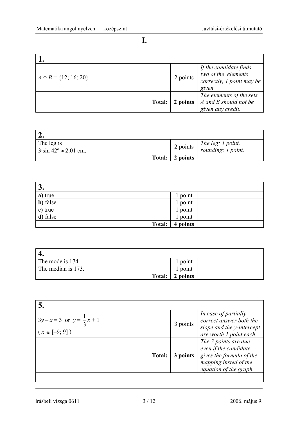**I. I. I. I.** 

| $A \cap B = \{12; 16; 20\}$ |               | 2 points | If the candidate finds<br>two of the elements<br>correctly, 1 point may be<br>given. |
|-----------------------------|---------------|----------|--------------------------------------------------------------------------------------|
|                             | <b>Total:</b> | 2 points | The elements of the sets<br>$\mid$ A and B should not be<br>given any credit.        |

| $\bigwedge$                                        |                 |                                                                                                        |
|----------------------------------------------------|-----------------|--------------------------------------------------------------------------------------------------------|
| The leg is<br>$3 \sin 42^{\circ} \approx 2.01$ cm. |                 | $\begin{array}{c c} \n\mid & 2 \text{ points} & \n\end{array}$ The leg: 1 point,<br>rounding: 1 point. |
|                                                    | Total: 2 points |                                                                                                        |

| 3.       |          |
|----------|----------|
| a) true  | point    |
| b) false | point    |
| c) true  | point    |
| d) false | point    |
| Total:   | 4 points |

| The mode is 174.   | point    |  |
|--------------------|----------|--|
| The median is 173. | point    |  |
| Total:             | 2 points |  |

| $3y-x=3$ or $y=\frac{1}{3}x+1$<br>$(x \in [-9, 9])$ | 3 points | In case of partially<br>correct answer both the<br>slope and the y-intercept<br>are worth 1 point each.                      |
|-----------------------------------------------------|----------|------------------------------------------------------------------------------------------------------------------------------|
| <b>Total:</b>                                       | 3 points | The 3 points are due<br>even if the candidate<br>gives the formula of the<br>mapping insted of the<br>equation of the graph. |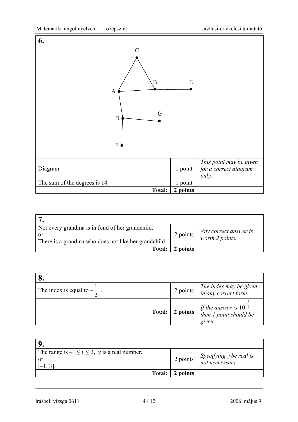| 6.                                                   |               |           |                                                           |
|------------------------------------------------------|---------------|-----------|-----------------------------------------------------------|
| $\mathcal{C}$<br>$\mathbf{B}$<br>A<br>D<br>${\bf F}$ | G             | ${\bf E}$ |                                                           |
| Diagram                                              |               | 1 point   | This point may be given<br>for a correct diagram<br>only. |
| The sum of the degrees is 14.                        |               | 1 point   |                                                           |
|                                                      | <b>Total:</b> | 2 points  |                                                           |

| Not every grandma is in fond of her grandchild.<br>or:<br>There is a grandma who does not like her grandchild. | 2 points        | $\int$ <i>Any correct answer is</i> worth 2 points. |
|----------------------------------------------------------------------------------------------------------------|-----------------|-----------------------------------------------------|
| Total:                                                                                                         | <i>l</i> points |                                                     |

| The index is equal to $-\frac{1}{2}$ . | 2 points | The index may be given<br>in any correct form.                 |
|----------------------------------------|----------|----------------------------------------------------------------|
| Total:                                 | 2 points | If the answer is $10^{-2}$<br>then 1 point should be<br>given. |

| The range is $-1 \le y \le 3$ , y is a real number.<br>or |        |          | 2 points $\begin{cases} \text{Specificity} \\ \text{not necessary.} \end{cases}$ |
|-----------------------------------------------------------|--------|----------|----------------------------------------------------------------------------------|
|                                                           | Total: | 2 points |                                                                                  |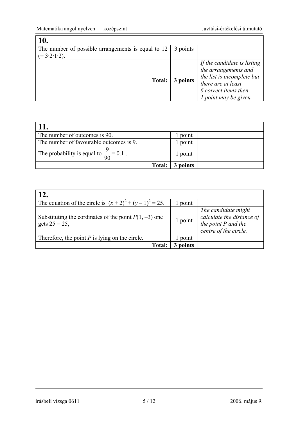| 10.                                                |          |                                                                                                                                                        |
|----------------------------------------------------|----------|--------------------------------------------------------------------------------------------------------------------------------------------------------|
| The number of possible arrangements is equal to 12 | 3 points |                                                                                                                                                        |
| $(=3.2.1.2)$ .                                     |          |                                                                                                                                                        |
| <b>Total:</b>                                      | 3 points | If the candidate is listing<br>the arrangements and<br>the list is incomplete but<br>there are at least<br>6 correct items then<br>point may be given. |

| The number of outcomes is 90.                      | point   |  |
|----------------------------------------------------|---------|--|
| The number of favourable outcomes is 9.            | point   |  |
| The probability is equal to $\frac{9}{90} = 0.1$ . | 1 point |  |
| Total:                                             | points  |  |

| 12.                                                                         |         |                                                                                                    |
|-----------------------------------------------------------------------------|---------|----------------------------------------------------------------------------------------------------|
| The equation of the circle is $(x + 2)^{2} + (y - 1)^{2} = 25$ .            | point   |                                                                                                    |
| Substituting the cordinates of the point $P(1, -3)$ one<br>gets $25 = 25$ , | 1 point | The candidate might<br>calculate the distance of<br>the point $P$ and the<br>centre of the circle. |
| Therefore, the point $P$ is lying on the circle.                            | point   |                                                                                                    |
| <b>Total:</b>                                                               | points  |                                                                                                    |

írásbeli vizsga 0611 5 / 12 2006. május 9.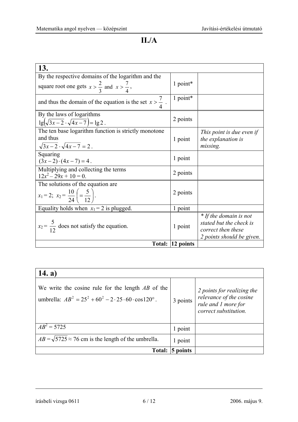**II./A** 

| 13.                                                                |                  |                                                                                                      |
|--------------------------------------------------------------------|------------------|------------------------------------------------------------------------------------------------------|
| By the respective domains of the logarithm and the                 |                  |                                                                                                      |
| square root one gets $x > \frac{2}{3}$ and $x > \frac{7}{4}$ ,     | 1 point*         |                                                                                                      |
| and thus the domain of the equation is the set $x > \frac{7}{4}$ . | 1 point*         |                                                                                                      |
| By the laws of logarithms                                          |                  |                                                                                                      |
| $lg(\sqrt{3x-2} \cdot \sqrt{4x-7}) = lg2$ .                        | 2 points         |                                                                                                      |
| The ten base logarithm function is strictly monotone               |                  | This point is due even if                                                                            |
| and thus                                                           | 1 point          | the explanation is                                                                                   |
| $\sqrt{3x-2}\cdot\sqrt{4x-7}=2$ .                                  |                  | missing.                                                                                             |
| Squaring                                                           | 1 point          |                                                                                                      |
| $(3x-2)\cdot(4x-7)=4$ .                                            |                  |                                                                                                      |
| Multiplying and collecting the terms<br>$12x^2 - 29x + 10 = 0$ .   | 2 points         |                                                                                                      |
| The solutions of the equation are                                  |                  |                                                                                                      |
| $x_1 = 2$ ; $x_2 = \frac{10}{24} \left( = \frac{5}{12} \right)$ .  | 2 points         |                                                                                                      |
| Equality holds when $x_1 = 2$ is plugged.                          | 1 point          |                                                                                                      |
| $x_2 = \frac{5}{12}$ does not satisfy the equation.                | 1 point          | * If the domain is not<br>stated but the check is<br>correct then these<br>2 points should be given. |
|                                                                    | Total: 12 points |                                                                                                      |

| 14. a)                                                                                                                           |          |                                                                                                       |
|----------------------------------------------------------------------------------------------------------------------------------|----------|-------------------------------------------------------------------------------------------------------|
| We write the cosine rule for the length AB of the<br>umbrella: $AB^2 = 25^2 + 60^2 - 2 \cdot 25 \cdot 60 \cdot \cos 120^\circ$ . | 3 points | 2 points for realizing the<br>relevance of the cosine<br>rule and 1 more for<br>correct substitution. |
| $AB^2 = 5725$                                                                                                                    | 1 point  |                                                                                                       |
| $AB = \sqrt{5725} \approx 76$ cm is the length of the umbrella.                                                                  | 1 point  |                                                                                                       |
| <b>Total:</b>                                                                                                                    | points   |                                                                                                       |

írásbeli vizsga 0611 6 / 12 2006. május 9.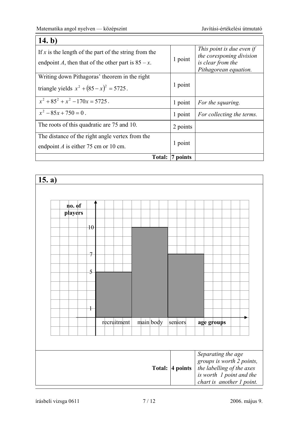$\bar{r}$ 

| 14. $b$ )                                                                                                      |          |                                                                                                     |
|----------------------------------------------------------------------------------------------------------------|----------|-----------------------------------------------------------------------------------------------------|
| If x is the length of the part of the string from the<br>endpoint A, then that of the other part is $85 - x$ . | 1 point  | This point is due even if<br>the coresponing division<br>is clear from the<br>Pithagorean equation. |
| Writing down Pithagoras' theorem in the right                                                                  |          |                                                                                                     |
| triangle yields $x^2 + (85 - x)^2 = 5725$ .                                                                    | 1 point  |                                                                                                     |
| $x^{2} + 85^{2} + x^{2} - 170x = 5725$ .                                                                       | 1 point  | For the squaring.                                                                                   |
| $x^2-85x+750=0$ .                                                                                              | 1 point  | For collecting the terms.                                                                           |
| The roots of this quadratic are 75 and 10.                                                                     | 2 points |                                                                                                     |
| The distance of the right angle vertex from the                                                                |          |                                                                                                     |
| endpoint $A$ is either 75 cm or 10 cm.                                                                         | 1 point  |                                                                                                     |
| <b>Total:</b>                                                                                                  | 7 points |                                                                                                     |

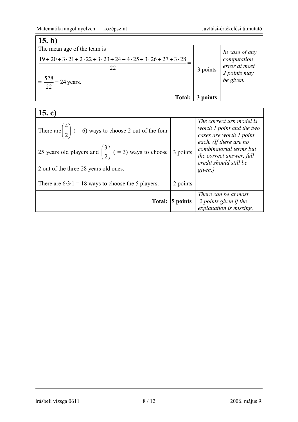÷

| 15. b)                                                                                            |          |                               |
|---------------------------------------------------------------------------------------------------|----------|-------------------------------|
| The mean age of the team is                                                                       |          |                               |
| $19 + 20 + 3 \cdot 21 + 2 \cdot 22 + 3 \cdot 23 + 24 + 4 \cdot 25 + 3 \cdot 26 + 27 + 3 \cdot 28$ |          | In case of any<br>computation |
| 22                                                                                                | 3 points | error at most                 |
| $=$ $\frac{528}{22}$ = 24 years.                                                                  |          | 2 points may<br>be given.     |
| <b>Total:</b>                                                                                     | points   |                               |

| 15. c)                                                                                                                                                                                                      |                    |                                                                                                                                                                                                        |
|-------------------------------------------------------------------------------------------------------------------------------------------------------------------------------------------------------------|--------------------|--------------------------------------------------------------------------------------------------------------------------------------------------------------------------------------------------------|
| There are $\begin{pmatrix} 4 \\ 2 \end{pmatrix}$ ( = 6) ways to choose 2 out of the four<br>25 years old players and $\binom{3}{2}$ ( = 3) ways to choose 3 points<br>2 out of the three 28 years old ones. |                    | The correct urn model is<br>worth 1 point and the two<br>cases are worth 1 point<br>each. (If there are no<br>combinatorial terms but<br>the correct answer, full<br>credit should still be<br>given.) |
| There are $6 \cdot 3 \cdot 1 = 18$ ways to choose the 5 players.                                                                                                                                            | 2 points           |                                                                                                                                                                                                        |
|                                                                                                                                                                                                             | Total: $ 5$ points | There can be at most<br>2 points given if the<br>explanation is missing.                                                                                                                               |

## írásbeli vizsga 0611 8 / 12 2006. május 9.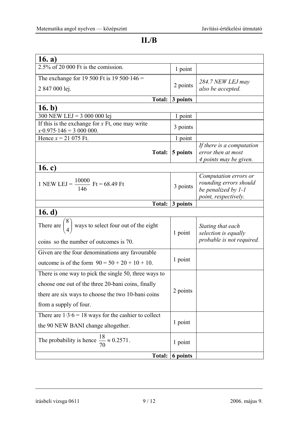**II./B** 

| 16. $a)$                                                                                      |          |                                                                                                |
|-----------------------------------------------------------------------------------------------|----------|------------------------------------------------------------------------------------------------|
| 2.5% of 20 000 Ft is the comission.                                                           | 1 point  |                                                                                                |
| The exchange for 19 500 Ft is 19 500 $146 =$<br>2 847 000 lej.                                | 2 points | 284.7 NEW LEJ may<br>also be accepted.                                                         |
| Total:                                                                                        | 3 points |                                                                                                |
| 16. $b)$                                                                                      |          |                                                                                                |
| 300 NEW LEJ = $3000000$ lej                                                                   | 1 point  |                                                                                                |
| If this is the exchange for $x \nFt$ , one may write<br>$x \cdot 0.975 \cdot 146 = 3000000$ . | 3 points |                                                                                                |
| Hence $x = 21075$ Ft.                                                                         | 1 point  |                                                                                                |
| <b>Total:</b>                                                                                 | 5 points | If there is a computation<br>error then at most<br>4 points may be given.                      |
| 16. c)                                                                                        |          |                                                                                                |
| 1 NEW LEJ = $\frac{10000}{146}$ Ft = 68.49 Ft                                                 | 3 points | Computation errors or<br>rounding errors should<br>be penalized by 1-1<br>point, respectively. |
| Total:                                                                                        | 3 points |                                                                                                |
| 16. $d)$                                                                                      |          |                                                                                                |
| There are $\binom{8}{4}$ ways to select four out of the eight                                 | 1 point  | Stating that each<br>selection is equally                                                      |
| coins so the number of outcomes is 70.                                                        |          | probable is not required.                                                                      |
| Given are the four denominations any favourable                                               |          |                                                                                                |
| outcome is of the form $90 = 50 + 20 + 10 + 10$ .                                             | 1 point  |                                                                                                |
| There is one way to pick the single 50, three ways to                                         |          |                                                                                                |
| choose one out of the three 20-bani coins, finally                                            |          |                                                                                                |
| there are six ways to choose the two 10-bani coins                                            | 2 points |                                                                                                |
| from a supply of four.                                                                        |          |                                                                                                |
| There are $1.3.6 = 18$ ways for the cashier to collect                                        |          |                                                                                                |
| the 90 NEW BANI change altogether.                                                            | 1 point  |                                                                                                |
| The probability is hence $\frac{18}{70} \approx 0.2571$ .                                     | 1 point  |                                                                                                |
| Total:                                                                                        | 6 points |                                                                                                |

írásbeli vizsga 0611 9 / 12 2006. május 9.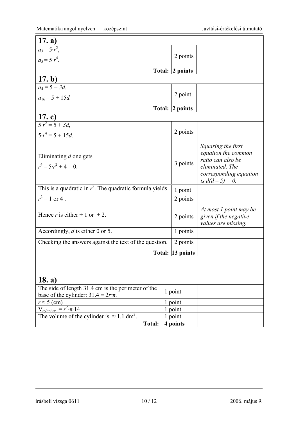| 17. a)                                                                                                         |                 |          |                                                                                                                                  |
|----------------------------------------------------------------------------------------------------------------|-----------------|----------|----------------------------------------------------------------------------------------------------------------------------------|
| $a_3 = 5 \cdot r^2$ ,                                                                                          |                 |          |                                                                                                                                  |
| $a_5 = 5 \cdot r^4$ .                                                                                          |                 | 2 points |                                                                                                                                  |
|                                                                                                                | Total: 2 points |          |                                                                                                                                  |
| 17. b)                                                                                                         |                 |          |                                                                                                                                  |
| $a_4 = 5 + 3d$ ,                                                                                               |                 |          |                                                                                                                                  |
| $a_{16} = 5 + 15d$ .                                                                                           |                 | 2 point  |                                                                                                                                  |
|                                                                                                                | Total: 2 points |          |                                                                                                                                  |
|                                                                                                                |                 |          |                                                                                                                                  |
| <b>17. c)</b><br>$5 \cdot r^2 = 5 + 3d$ ,                                                                      |                 |          |                                                                                                                                  |
| $5 \cdot r^4 = 5 + 15d$ .                                                                                      |                 | 2 points |                                                                                                                                  |
| Eliminating d one gets<br>$r^4 - 5 \cdot r^2 + 4 = 0$ .                                                        |                 | 3 points | Squaring the first<br>equation the common<br>ratio can also be<br>eliminated. The<br>corresponding equation<br>is $d(d-5) = 0$ . |
| This is a quadratic in $r^2$ . The quadratic formula yields<br>1 point                                         |                 |          |                                                                                                                                  |
| $r^2 = 1$ or 4.                                                                                                |                 | 2 points |                                                                                                                                  |
| Hence r is either $\pm$ 1 or $\pm$ 2.                                                                          |                 | 2 points | At most 1 point may be<br>given if the negative<br>values are missing.                                                           |
| Accordingly, $d$ is either 0 or 5.<br>1 points                                                                 |                 |          |                                                                                                                                  |
| Checking the answers against the text of the question.<br>2 points                                             |                 |          |                                                                                                                                  |
| Total: 13 points                                                                                               |                 |          |                                                                                                                                  |
|                                                                                                                |                 |          |                                                                                                                                  |
| 18. a)                                                                                                         |                 |          |                                                                                                                                  |
| The side of length 31.4 cm is the perimeter of the<br>1 point<br>base of the cylinder: $31.4 = 2r \cdot \pi$ . |                 |          |                                                                                                                                  |
| $r \approx 5$ (cm)                                                                                             | 1 point         |          |                                                                                                                                  |
| $V_{\text{cylinder}} = r^2 \cdot \pi \cdot 14$                                                                 | 1 point         |          |                                                                                                                                  |
| The volume of the cylinder is $\approx 1.1$ dm <sup>3</sup> .                                                  | 1 point         |          |                                                                                                                                  |
| <b>Total:</b>                                                                                                  | 4 points        |          |                                                                                                                                  |

írásbeli vizsga 0611 10 / 12 2006. május 9.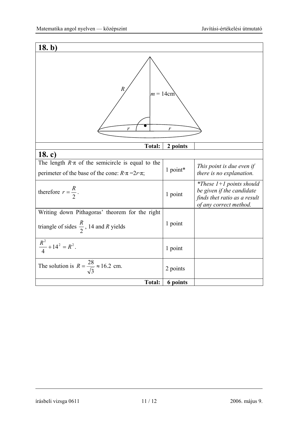| 18. b)                                                                                                                          |          |                                                                                                                   |  |
|---------------------------------------------------------------------------------------------------------------------------------|----------|-------------------------------------------------------------------------------------------------------------------|--|
| R<br>$m = 14$ cm<br>r<br>r                                                                                                      |          |                                                                                                                   |  |
| <b>Total:</b>                                                                                                                   | 2 points |                                                                                                                   |  |
| 18. c)                                                                                                                          |          |                                                                                                                   |  |
| The length $R \cdot \pi$ of the semicircle is equal to the<br>perimeter of the base of the cone: $R \cdot \pi = 2r \cdot \pi$ ; | 1 point* | This point is due even if<br>there is no explanation.                                                             |  |
| therefore $r = \frac{R}{2}$ .                                                                                                   | 1 point  | *These $1+1$ points should<br>be given if the candidate<br>finds thet ratio as a result<br>of any correct method. |  |
| Writing down Pithagoras' theorem for the right                                                                                  |          |                                                                                                                   |  |
| triangle of sides $\frac{R}{2}$ , 14 and R yields                                                                               | 1 point  |                                                                                                                   |  |
| $rac{R^2}{4} + 14^2 = R^2$ .                                                                                                    | 1 point  |                                                                                                                   |  |
| The solution is $R = \frac{28}{\sqrt{3}} \approx 16.2$ cm.                                                                      | 2 points |                                                                                                                   |  |
| <b>Total:</b>                                                                                                                   | 6 points |                                                                                                                   |  |